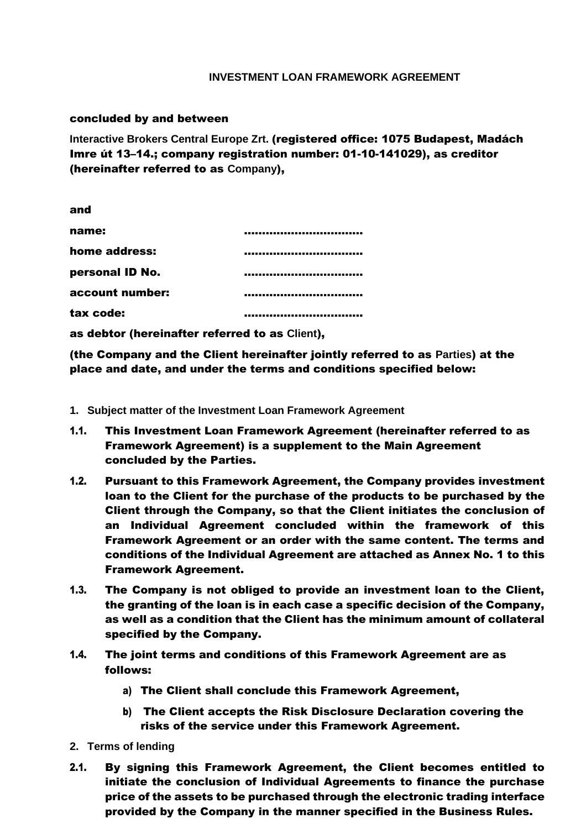## **INVESTMENT LOAN FRAMEWORK AGREEMENT**

## concluded by and between

**Interactive Brokers Central Europe Zrt.** (registered office: 1075 Budapest, Madách Imre út 13–14.; company registration number: 01-10-141029), as creditor (hereinafter referred to as **Company**),

| and             |  |
|-----------------|--|
| name:           |  |
| home address:   |  |
| personal ID No. |  |
| account number: |  |
| tax code:       |  |

as debtor (hereinafter referred to as **Client**),

(the Company and the Client hereinafter jointly referred to as **Parties**) at the place and date, and under the terms and conditions specified below:

- **1. Subject matter of the Investment Loan Framework Agreement**
- 1.1. This Investment Loan Framework Agreement (hereinafter referred to as Framework Agreement) is a supplement to the Main Agreement concluded by the Parties.
- 1.2. Pursuant to this Framework Agreement, the Company provides investment loan to the Client for the purchase of the products to be purchased by the Client through the Company, so that the Client initiates the conclusion of an Individual Agreement concluded within the framework of this Framework Agreement or an order with the same content. The terms and conditions of the Individual Agreement are attached as Annex No. 1 to this Framework Agreement.
- 1.3. The Company is not obliged to provide an investment loan to the Client, the granting of the loan is in each case a specific decision of the Company, as well as a condition that the Client has the minimum amount of collateral specified by the Company.
- 1.4. The joint terms and conditions of this Framework Agreement are as follows:
	- a) The Client shall conclude this Framework Agreement,
	- b) The Client accepts the Risk Disclosure Declaration covering the risks of the service under this Framework Agreement.
- **2. Terms of lending**
- 2.1. By signing this Framework Agreement, the Client becomes entitled to initiate the conclusion of Individual Agreements to finance the purchase price of the assets to be purchased through the electronic trading interface provided by the Company in the manner specified in the Business Rules.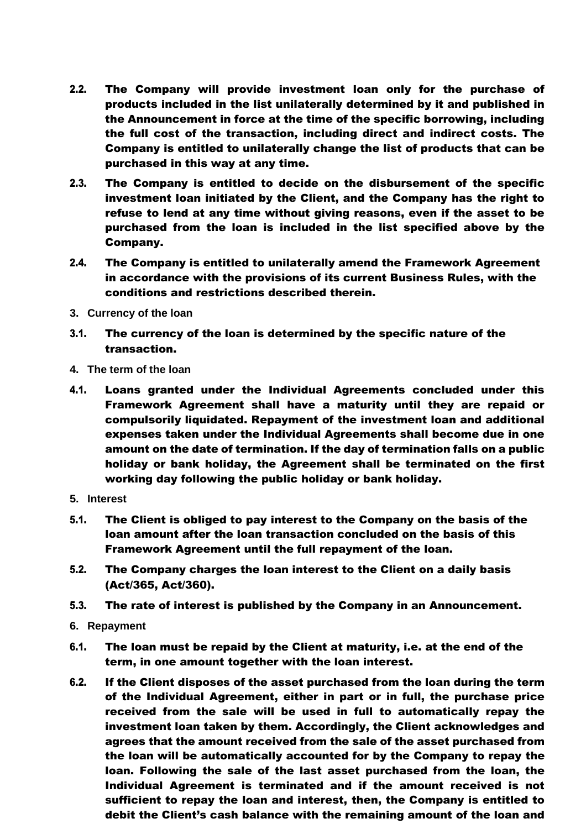- 2.2. The Company will provide investment loan only for the purchase of products included in the list unilaterally determined by it and published in the Announcement in force at the time of the specific borrowing, including the full cost of the transaction, including direct and indirect costs. The Company is entitled to unilaterally change the list of products that can be purchased in this way at any time.
- 2.3. The Company is entitled to decide on the disbursement of the specific investment loan initiated by the Client, and the Company has the right to refuse to lend at any time without giving reasons, even if the asset to be purchased from the loan is included in the list specified above by the Company.
- 2.4. The Company is entitled to unilaterally amend the Framework Agreement in accordance with the provisions of its current Business Rules, with the conditions and restrictions described therein.
- **3. Currency of the loan**
- 3.1. The currency of the loan is determined by the specific nature of the transaction.
- **4. The term of the loan**
- 4.1. Loans granted under the Individual Agreements concluded under this Framework Agreement shall have a maturity until they are repaid or compulsorily liquidated. Repayment of the investment loan and additional expenses taken under the Individual Agreements shall become due in one amount on the date of termination. If the day of termination falls on a public holiday or bank holiday, the Agreement shall be terminated on the first working day following the public holiday or bank holiday.
- **5. Interest**
- 5.1. The Client is obliged to pay interest to the Company on the basis of the loan amount after the loan transaction concluded on the basis of this Framework Agreement until the full repayment of the loan.
- 5.2. The Company charges the loan interest to the Client on a daily basis (Act/365, Act/360).
- 5.3. The rate of interest is published by the Company in an Announcement.
- **6. Repayment**
- 6.1. The loan must be repaid by the Client at maturity, i.e. at the end of the term, in one amount together with the loan interest.
- 6.2. If the Client disposes of the asset purchased from the loan during the term of the Individual Agreement, either in part or in full, the purchase price received from the sale will be used in full to automatically repay the investment loan taken by them. Accordingly, the Client acknowledges and agrees that the amount received from the sale of the asset purchased from the loan will be automatically accounted for by the Company to repay the loan. Following the sale of the last asset purchased from the loan, the Individual Agreement is terminated and if the amount received is not sufficient to repay the loan and interest, then, the Company is entitled to debit the Client's cash balance with the remaining amount of the loan and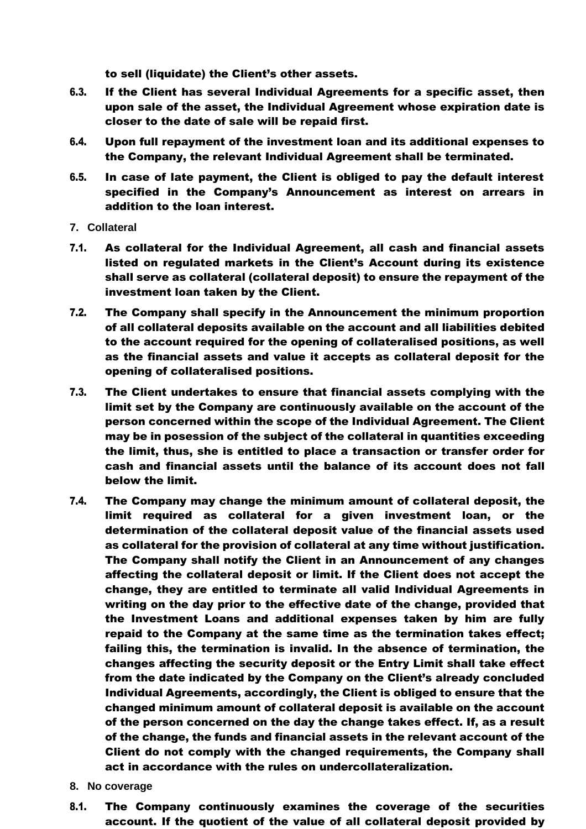to sell (liquidate) the Client's other assets.

- 6.3. If the Client has several Individual Agreements for a specific asset, then upon sale of the asset, the Individual Agreement whose expiration date is closer to the date of sale will be repaid first.
- 6.4. Upon full repayment of the investment loan and its additional expenses to the Company, the relevant Individual Agreement shall be terminated.
- 6.5. In case of late payment, the Client is obliged to pay the default interest specified in the Company's Announcement as interest on arrears in addition to the loan interest.
- **7. Collateral**
- 7.1. As collateral for the Individual Agreement, all cash and financial assets listed on regulated markets in the Client's Account during its existence shall serve as collateral (collateral deposit) to ensure the repayment of the investment loan taken by the Client.
- 7.2. The Company shall specify in the Announcement the minimum proportion of all collateral deposits available on the account and all liabilities debited to the account required for the opening of collateralised positions, as well as the financial assets and value it accepts as collateral deposit for the opening of collateralised positions.
- 7.3. The Client undertakes to ensure that financial assets complying with the limit set by the Company are continuously available on the account of the person concerned within the scope of the Individual Agreement. The Client may be in posession of the subject of the collateral in quantities exceeding the limit, thus, she is entitled to place a transaction or transfer order for cash and financial assets until the balance of its account does not fall below the limit.
- 7.4. The Company may change the minimum amount of collateral deposit, the limit required as collateral for a given investment loan, or the determination of the collateral deposit value of the financial assets used as collateral for the provision of collateral at any time without justification. The Company shall notify the Client in an Announcement of any changes affecting the collateral deposit or limit. If the Client does not accept the change, they are entitled to terminate all valid Individual Agreements in writing on the day prior to the effective date of the change, provided that the Investment Loans and additional expenses taken by him are fully repaid to the Company at the same time as the termination takes effect; failing this, the termination is invalid. In the absence of termination, the changes affecting the security deposit or the Entry Limit shall take effect from the date indicated by the Company on the Client's already concluded Individual Agreements, accordingly, the Client is obliged to ensure that the changed minimum amount of collateral deposit is available on the account of the person concerned on the day the change takes effect. If, as a result of the change, the funds and financial assets in the relevant account of the Client do not comply with the changed requirements, the Company shall act in accordance with the rules on undercollateralization.
- **8. No coverage**
- 8.1. The Company continuously examines the coverage of the securities account. If the quotient of the value of all collateral deposit provided by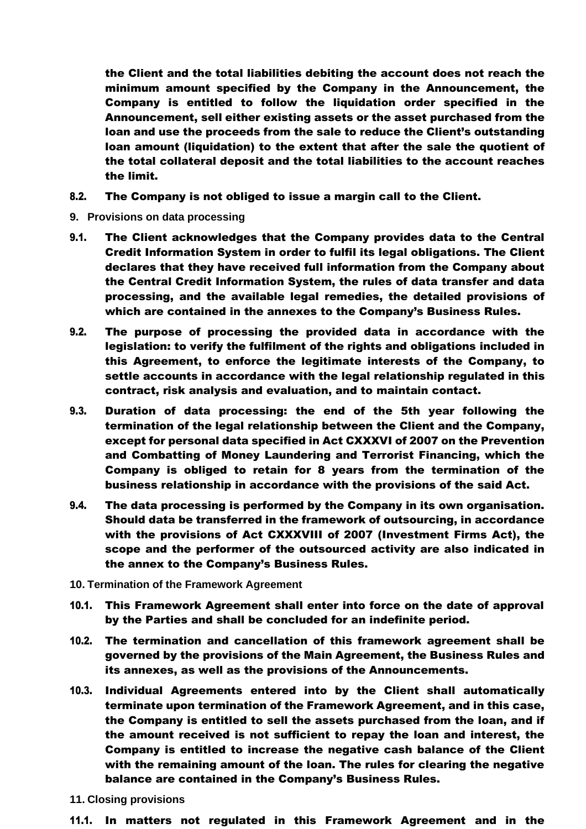the Client and the total liabilities debiting the account does not reach the minimum amount specified by the Company in the Announcement, the Company is entitled to follow the liquidation order specified in the Announcement, sell either existing assets or the asset purchased from the loan and use the proceeds from the sale to reduce the Client's outstanding loan amount (liquidation) to the extent that after the sale the quotient of the total collateral deposit and the total liabilities to the account reaches the limit.

- 8.2. The Company is not obliged to issue a margin call to the Client.
- **9. Provisions on data processing**
- 9.1. The Client acknowledges that the Company provides data to the Central Credit Information System in order to fulfil its legal obligations. The Client declares that they have received full information from the Company about the Central Credit Information System, the rules of data transfer and data processing, and the available legal remedies, the detailed provisions of which are contained in the annexes to the Company's Business Rules.
- 9.2. The purpose of processing the provided data in accordance with the legislation: to verify the fulfilment of the rights and obligations included in this Agreement, to enforce the legitimate interests of the Company, to settle accounts in accordance with the legal relationship regulated in this contract, risk analysis and evaluation, and to maintain contact.
- 9.3. Duration of data processing: the end of the 5th year following the termination of the legal relationship between the Client and the Company, except for personal data specified in Act CXXXVI of 2007 on the Prevention and Combatting of Money Laundering and Terrorist Financing, which the Company is obliged to retain for 8 years from the termination of the business relationship in accordance with the provisions of the said Act.
- 9.4. The data processing is performed by the Company in its own organisation. Should data be transferred in the framework of outsourcing, in accordance with the provisions of Act CXXXVIII of 2007 (Investment Firms Act), the scope and the performer of the outsourced activity are also indicated in the annex to the Company's Business Rules.
- **10. Termination of the Framework Agreement**
- 10.1. This Framework Agreement shall enter into force on the date of approval by the Parties and shall be concluded for an indefinite period.
- 10.2. The termination and cancellation of this framework agreement shall be governed by the provisions of the Main Agreement, the Business Rules and its annexes, as well as the provisions of the Announcements.
- 10.3. Individual Agreements entered into by the Client shall automatically terminate upon termination of the Framework Agreement, and in this case, the Company is entitled to sell the assets purchased from the loan, and if the amount received is not sufficient to repay the loan and interest, the Company is entitled to increase the negative cash balance of the Client with the remaining amount of the loan. The rules for clearing the negative balance are contained in the Company's Business Rules.
- **11. Closing provisions**
- 11.1. In matters not regulated in this Framework Agreement and in the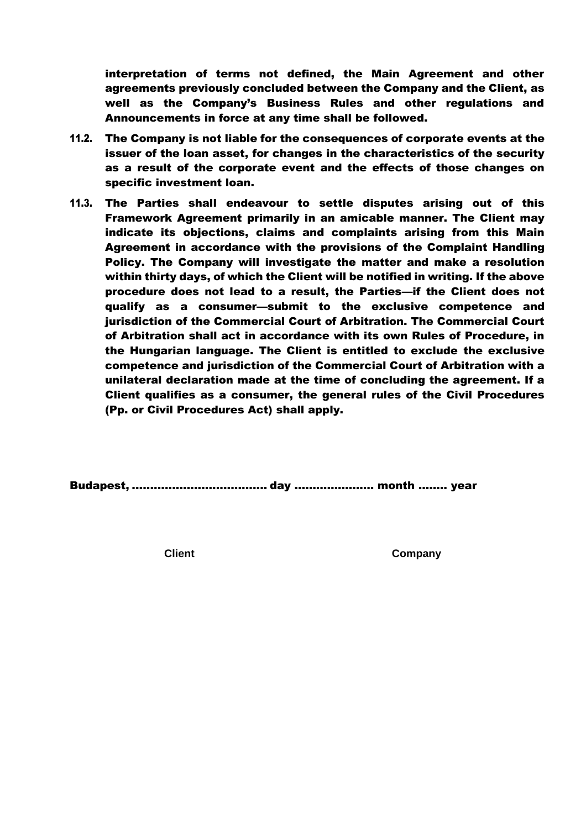interpretation of terms not defined, the Main Agreement and other agreements previously concluded between the Company and the Client, as well as the Company's Business Rules and other regulations and Announcements in force at any time shall be followed.

- 11.2. The Company is not liable for the consequences of corporate events at the issuer of the loan asset, for changes in the characteristics of the security as a result of the corporate event and the effects of those changes on specific investment loan.
- 11.3. The Parties shall endeavour to settle disputes arising out of this Framework Agreement primarily in an amicable manner. The Client may indicate its objections, claims and complaints arising from this Main Agreement in accordance with the provisions of the Complaint Handling Policy. The Company will investigate the matter and make a resolution within thirty days, of which the Client will be notified in writing. If the above procedure does not lead to a result, the Parties—if the Client does not qualify as a consumer—submit to the exclusive competence and jurisdiction of the Commercial Court of Arbitration. The Commercial Court of Arbitration shall act in accordance with its own Rules of Procedure, in the Hungarian language. The Client is entitled to exclude the exclusive competence and jurisdiction of the Commercial Court of Arbitration with a unilateral declaration made at the time of concluding the agreement. If a Client qualifies as a consumer, the general rules of the Civil Procedures (Pp. or Civil Procedures Act) shall apply.

Budapest, ..................................... day …………………. month ..…… year

**Client Company**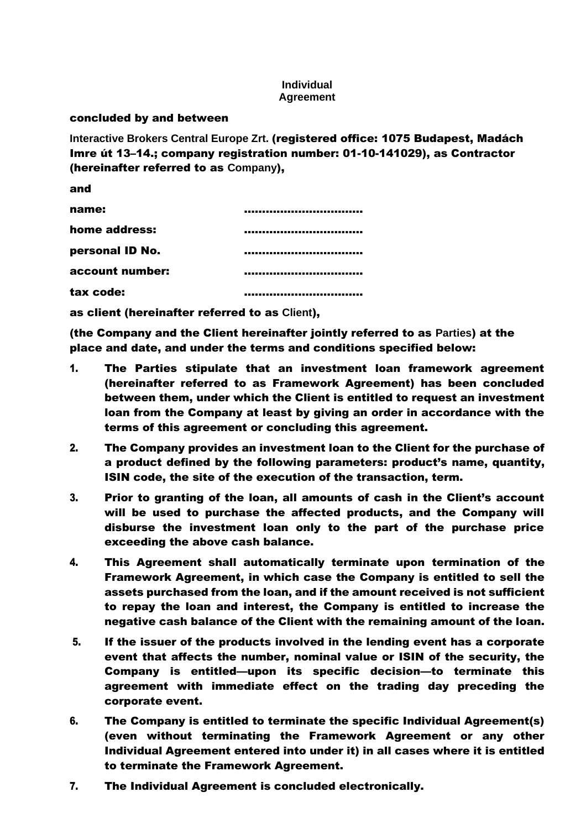## **Individual Agreement**

## concluded by and between

**Interactive Brokers Central Europe Zrt.** (registered office: 1075 Budapest, Madách Imre út 13–14.; company registration number: 01-10-141029), as Contractor (hereinafter referred to as **Company**),

| and             |  |
|-----------------|--|
| name:           |  |
| home address:   |  |
| personal ID No. |  |
| account number: |  |
| tax code:       |  |

as client (hereinafter referred to as **Client**),

(the Company and the Client hereinafter jointly referred to as **Parties**) at the place and date, and under the terms and conditions specified below:

- 1. The Parties stipulate that an investment loan framework agreement (hereinafter referred to as Framework Agreement) has been concluded between them, under which the Client is entitled to request an investment loan from the Company at least by giving an order in accordance with the terms of this agreement or concluding this agreement.
- 2. The Company provides an investment loan to the Client for the purchase of a product defined by the following parameters: product's name, quantity, ISIN code, the site of the execution of the transaction, term.
- 3. Prior to granting of the loan, all amounts of cash in the Client's account will be used to purchase the affected products, and the Company will disburse the investment loan only to the part of the purchase price exceeding the above cash balance.
- 4. This Agreement shall automatically terminate upon termination of the Framework Agreement, in which case the Company is entitled to sell the assets purchased from the loan, and if the amount received is not sufficient to repay the loan and interest, the Company is entitled to increase the negative cash balance of the Client with the remaining amount of the loan.
- 5. If the issuer of the products involved in the lending event has a corporate event that affects the number, nominal value or ISIN of the security, the Company is entitled—upon its specific decision—to terminate this agreement with immediate effect on the trading day preceding the corporate event.
- 6. The Company is entitled to terminate the specific Individual Agreement(s) (even without terminating the Framework Agreement or any other Individual Agreement entered into under it) in all cases where it is entitled to terminate the Framework Agreement.
- 7. The Individual Agreement is concluded electronically.